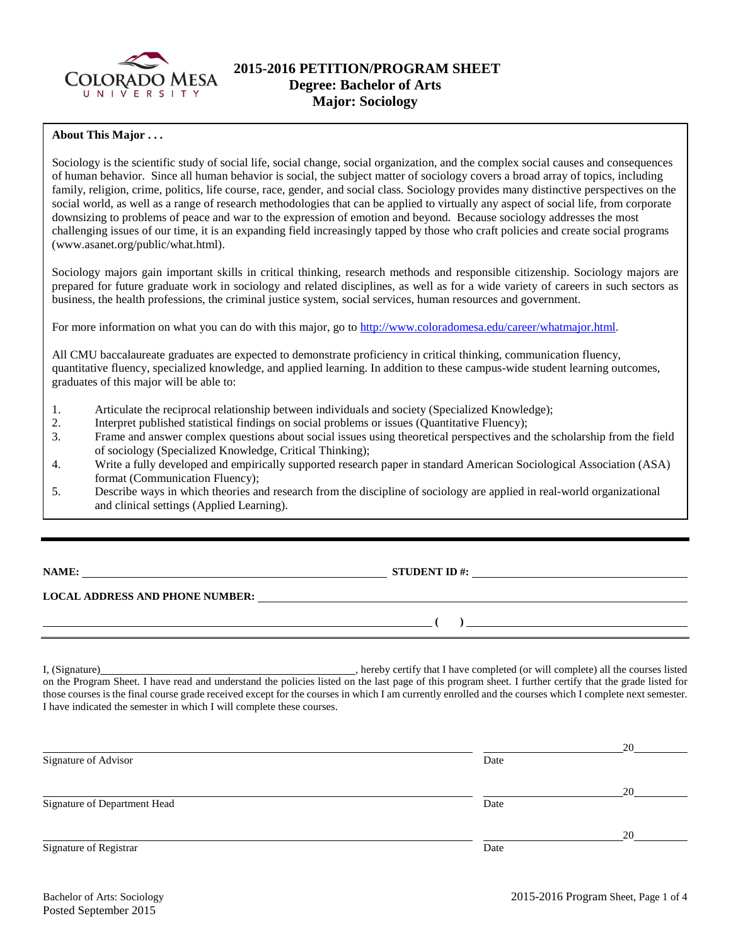

# **2015-2016 PETITION/PROGRAM SHEET Degree: Bachelor of Arts Major: Sociology**

## **About This Major . . .**

Sociology is the scientific study of social life, social change, social organization, and the complex social causes and consequences of human behavior. Since all human behavior is social, the subject matter of sociology covers a broad array of topics, including family, religion, crime, politics, life course, race, gender, and social class. Sociology provides many distinctive perspectives on the social world, as well as a range of research methodologies that can be applied to virtually any aspect of social life, from corporate downsizing to problems of peace and war to the expression of emotion and beyond. Because sociology addresses the most challenging issues of our time, it is an expanding field increasingly tapped by those who craft policies and create social programs (www.asanet.org/public/what.html).

Sociology majors gain important skills in critical thinking, research methods and responsible citizenship. Sociology majors are prepared for future graduate work in sociology and related disciplines, as well as for a wide variety of careers in such sectors as business, the health professions, the criminal justice system, social services, human resources and government.

For more information on what you can do with this major, go to [http://www.coloradomesa.edu/career/whatmajor.html.](http://www.coloradomesa.edu/career/whatmajor.html)

All CMU baccalaureate graduates are expected to demonstrate proficiency in critical thinking, communication fluency, quantitative fluency, specialized knowledge, and applied learning. In addition to these campus-wide student learning outcomes, graduates of this major will be able to:

- 1. Articulate the reciprocal relationship between individuals and society (Specialized Knowledge);
- 2. Interpret published statistical findings on social problems or issues (Quantitative Fluency);
- 3. Frame and answer complex questions about social issues using theoretical perspectives and the scholarship from the field of sociology (Specialized Knowledge, Critical Thinking);
- 4. Write a fully developed and empirically supported research paper in standard American Sociological Association (ASA) format (Communication Fluency);
- 5. Describe ways in which theories and research from the discipline of sociology are applied in real-world organizational and clinical settings (Applied Learning).

**NAME:** STUDENT ID #:

**( )** 

## **LOCAL ADDRESS AND PHONE NUMBER:**

I, (Signature) , hereby certify that I have completed (or will complete) all the courses listed on the Program Sheet. I have read and understand the policies listed on the last page of this program sheet. I further certify that the grade listed for those courses is the final course grade received except for the courses in which I am currently enrolled and the courses which I complete next semester. I have indicated the semester in which I will complete these courses.

|      | 20 |
|------|----|
| Date |    |
|      | 20 |
| Date |    |
|      | 20 |
| Date |    |
|      |    |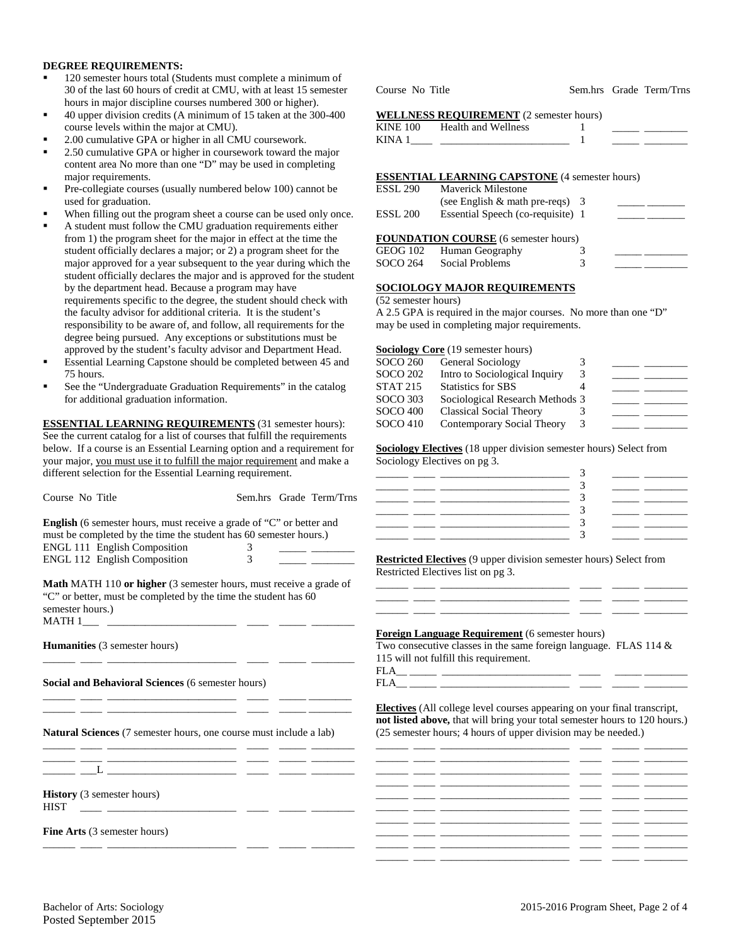#### **DEGREE REQUIREMENTS:**

- <sup>120</sup> semester hours total (Students must complete a minimum of 30 of the last 60 hours of credit at CMU, with at least 15 semester hours in major discipline courses numbered 300 or higher).
- 40 upper division credits (A minimum of 15 taken at the 300-400 course levels within the major at CMU).
- 2.00 cumulative GPA or higher in all CMU coursework.
- 2.50 cumulative GPA or higher in coursework toward the major content area No more than one "D" may be used in completing major requirements.
- Pre-collegiate courses (usually numbered below 100) cannot be used for graduation.
- When filling out the program sheet a course can be used only once.
- A student must follow the CMU graduation requirements either from 1) the program sheet for the major in effect at the time the student officially declares a major; or 2) a program sheet for the major approved for a year subsequent to the year during which the student officially declares the major and is approved for the student by the department head. Because a program may have requirements specific to the degree, the student should check with the faculty advisor for additional criteria. It is the student's responsibility to be aware of, and follow, all requirements for the degree being pursued. Any exceptions or substitutions must be approved by the student's faculty advisor and Department Head.
- Essential Learning Capstone should be completed between 45 and 75 hours.
- See the "Undergraduate Graduation Requirements" in the catalog for additional graduation information.

**ESSENTIAL LEARNING REQUIREMENTS** (31 semester hours): See the current catalog for a list of courses that fulfill the requirements below. If a course is an Essential Learning option and a requirement for your major, you must use it to fulfill the major requirement and make a different selection for the Essential Learning requirement.

| Course No Title                                                                                                                                                                                                                                                                                                                                                                                                                                                                                                                                                                                                                                                                                                                                                                                  | Sem.hrs Grade Term/Trns | 3<br><u> 1999 - Andre Amerikaanse kommunister en </u>                                                                                                                                                                                                                                                                                                    |
|--------------------------------------------------------------------------------------------------------------------------------------------------------------------------------------------------------------------------------------------------------------------------------------------------------------------------------------------------------------------------------------------------------------------------------------------------------------------------------------------------------------------------------------------------------------------------------------------------------------------------------------------------------------------------------------------------------------------------------------------------------------------------------------------------|-------------------------|----------------------------------------------------------------------------------------------------------------------------------------------------------------------------------------------------------------------------------------------------------------------------------------------------------------------------------------------------------|
| <b>English</b> (6 semester hours, must receive a grade of "C" or better and<br>must be completed by the time the student has 60 semester hours.)<br>ENGL 111 English Composition                                                                                                                                                                                                                                                                                                                                                                                                                                                                                                                                                                                                                 | 3                       | <u> 1986 - Albert Stormer</u><br>3<br><u> 1999 - 1999 - 1999 - 1999 - 1999 - 1999 - 1999 - 1999 - 1999 - 1999 - 1999 - 1999 - 1999 - 1999 - 1999 - 199</u>                                                                                                                                                                                               |
| ENGL 112 English Composition                                                                                                                                                                                                                                                                                                                                                                                                                                                                                                                                                                                                                                                                                                                                                                     | 3                       | <b>Restricted Electives</b> (9 upper division semester hours) Select from<br>Restricted Electives list on pg 3.                                                                                                                                                                                                                                          |
| <b>Math MATH 110 or higher</b> (3 semester hours, must receive a grade of<br>"C" or better, must be completed by the time the student has 60<br>semester hours.)                                                                                                                                                                                                                                                                                                                                                                                                                                                                                                                                                                                                                                 |                         | <u> 1999 - John Harrison, marsin film (f. 1920)</u><br><u> 1989 - Jan Alexandri, filozof eta inperiodo eta inperiodo eta inperiodo eta inperiodo eta inperiodo eta inper</u><br><u> 1999 - Johann Stone, mars et al. (1999)</u>                                                                                                                          |
| Humanities (3 semester hours)                                                                                                                                                                                                                                                                                                                                                                                                                                                                                                                                                                                                                                                                                                                                                                    |                         | <b>Foreign Language Requirement</b> (6 semester hours)<br>Two consecutive classes in the same foreign language. FLAS 114 $\&$<br>115 will not fulfill this requirement.                                                                                                                                                                                  |
| <b>Social and Behavioral Sciences (6 semester hours)</b>                                                                                                                                                                                                                                                                                                                                                                                                                                                                                                                                                                                                                                                                                                                                         |                         |                                                                                                                                                                                                                                                                                                                                                          |
| <u> 2000 - Andrea Andrews, american altres an</u> d and the second second second second second second second second second second second second second second second second second second second second second second second second<br><u>s and the second control of the second control of the second control of the second control of the second control of the second control of the second control of the second control of the second control of the second contro</u><br><b>Natural Sciences</b> (7 semester hours, one course must include a lab)<br><u>and product the state of the state of the state of the state of the state of the state of the state of the state of the state of the state of the state of the state of the state of the state of the state of the state of t</u> |                         | <b>Electives</b> (All college level courses appearing on your final transcript,<br>not listed above, that will bring your total semester hours to 120 hours.)<br>(25 semester hours; 4 hours of upper division may be needed.)<br><u> 1986 - Johann John Stone, markin amerikan basal dan berkembang dan berkembang dan berkembang dan berkembang da</u> |
|                                                                                                                                                                                                                                                                                                                                                                                                                                                                                                                                                                                                                                                                                                                                                                                                  |                         | <u>. 2002 - 2003 - 2004 - 2005 - 2006 - 2007 - 2008 - 2009 - 2009 - 2009 - 2009 - 2009 - 2009 - 2009 - 2009 - 20</u>                                                                                                                                                                                                                                     |
| <b>History</b> (3 semester hours)<br><b>HIST</b><br><u> 1980 - Andrea Andrew Maria (b. 1980)</u>                                                                                                                                                                                                                                                                                                                                                                                                                                                                                                                                                                                                                                                                                                 |                         | <u> 1999 - John Schweizer, schweizer am der Schweizer (d. 1999)</u>                                                                                                                                                                                                                                                                                      |
| <b>Fine Arts</b> (3 semester hours)                                                                                                                                                                                                                                                                                                                                                                                                                                                                                                                                                                                                                                                                                                                                                              |                         | <u> 1999 - Andrea San Andrea Andrea Andrea Andrea Andrea Andrea Andrea Andrea Andrea Andrea Andrea Andrea Andrea</u>                                                                                                                                                                                                                                     |
|                                                                                                                                                                                                                                                                                                                                                                                                                                                                                                                                                                                                                                                                                                                                                                                                  |                         |                                                                                                                                                                                                                                                                                                                                                          |

Course No Title Sem.hrs Grade Term/Trns

#### **WELLNESS REQUIREMENT** (2 semester hours)

| KINE 100 | <b>Health and Wellness</b> |  |  |
|----------|----------------------------|--|--|
| KINA 1   |                            |  |  |
|          |                            |  |  |

#### **ESSENTIAL LEARNING CAPSTONE** (4 semester hours)

| <b>ESSL 290</b>     | Maverick Milestone                          |   |  |
|---------------------|---------------------------------------------|---|--|
|                     | (see English $\&$ math pre-reqs) 3          |   |  |
| ESSL <sub>200</sub> | Essential Speech (co-requisite) 1           |   |  |
|                     |                                             |   |  |
|                     | <b>FOUNDATION COURSE</b> (6 semester hours) |   |  |
| GEOG 102            | Human Geography                             |   |  |
| SOCO 264            | <b>Social Problems</b>                      | 3 |  |
|                     |                                             |   |  |

## **SOCIOLOGY MAJOR REQUIREMENTS**

| (52 semester hours) |  |
|---------------------|--|
|---------------------|--|

A 2.5 GPA is required in the major courses. No more than one "D" may be used in completing major requirements.

|                 | <b>Sociology Core</b> (19 semester hours) |   |  |
|-----------------|-------------------------------------------|---|--|
| SOCO 260        | General Sociology                         |   |  |
| SOCO 202        | Intro to Sociological Inquiry             | 3 |  |
| STAT 215        | <b>Statistics for SBS</b>                 |   |  |
| SOCO 303        | Sociological Research Methods 3           |   |  |
| <b>SOCO 400</b> | <b>Classical Social Theory</b>            |   |  |
| SOCO 410        | Contemporary Social Theory                | 3 |  |
|                 |                                           |   |  |

**Sociology Electives** (18 upper division semester hours) Select from Sociology Electives on pg 3.

|    | __<br>-       |  |
|----|---------------|--|
|    |               |  |
|    |               |  |
| __ | __<br>__<br>– |  |
|    |               |  |
|    |               |  |
|    |               |  |

#### **<u>Example 8 and Sepan Constructed</u>** (6 semester hours)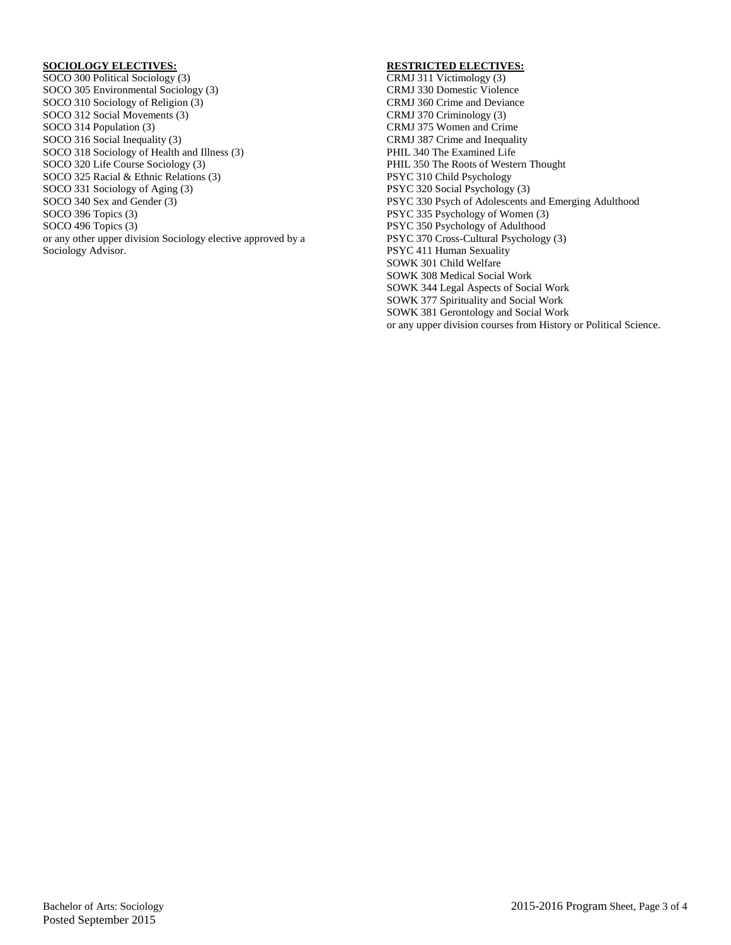## **SOCIOLOGY ELECTIVES:**

SOCO 300 Political Sociology (3) SOCO 305 Environmental Sociology (3) SOCO 310 Sociology of Religion (3) SOCO 312 Social Movements (3) SOCO 314 Population (3) SOCO 316 Social Inequality (3) SOCO 318 Sociology of Health and Illness (3) SOCO 320 Life Course Sociology (3) SOCO 325 Racial & Ethnic Relations (3) SOCO 331 Sociology of Aging (3) SOCO 340 Sex and Gender (3) SOCO 396 Topics (3) SOCO 496 Topics (3) or any other upper division Sociology elective approved by a Sociology Advisor.

## **RESTRICTED ELECTIVES:**

CRMJ 311 Victimology (3) CRMJ 330 Domestic Violence CRMJ 360 Crime and Deviance CRMJ 370 Criminology (3) CRMJ 375 Women and Crime CRMJ 387 Crime and Inequality PHIL 340 The Examined Life PHIL 350 The Roots of Western Thought PSYC 310 Child Psychology PSYC 320 Social Psychology (3) PSYC 330 Psych of Adolescents and Emerging Adulthood PSYC 335 Psychology of Women (3) PSYC 350 Psychology of Adulthood PSYC 370 Cross-Cultural Psychology (3) PSYC 411 Human Sexuality SOWK 301 Child Welfare SOWK 308 Medical Social Work SOWK 344 Legal Aspects of Social Work SOWK 377 Spirituality and Social Work SOWK 381 Gerontology and Social Work or any upper division courses from History or Political Science.